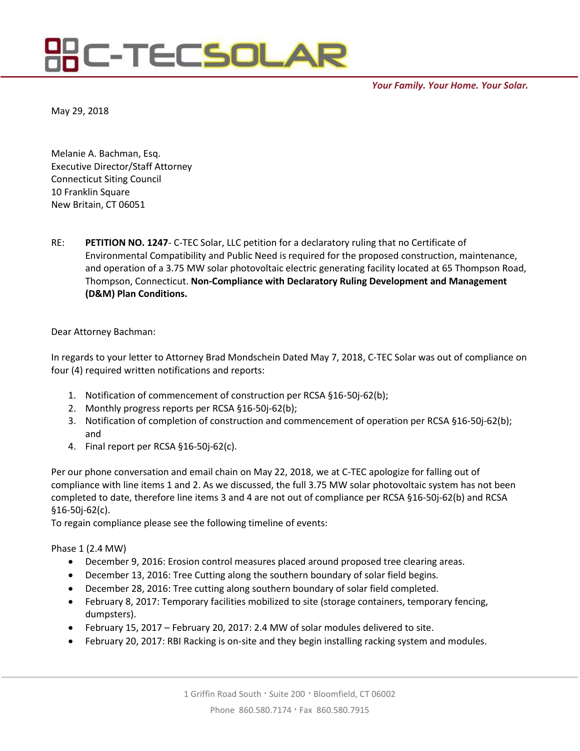## **C-TECSOLAR**

*Your Family. Your Home. Your Solar.*

May 29, 2018

Melanie A. Bachman, Esq. Executive Director/Staff Attorney Connecticut Siting Council 10 Franklin Square New Britain, CT 06051

RE: **PETITION NO. 1247**- C-TEC Solar, LLC petition for a declaratory ruling that no Certificate of Environmental Compatibility and Public Need is required for the proposed construction, maintenance, and operation of a 3.75 MW solar photovoltaic electric generating facility located at 65 Thompson Road, Thompson, Connecticut. **Non-Compliance with Declaratory Ruling Development and Management (D&M) Plan Conditions.**

Dear Attorney Bachman:

In regards to your letter to Attorney Brad Mondschein Dated May 7, 2018, C-TEC Solar was out of compliance on four (4) required written notifications and reports:

- 1. Notification of commencement of construction per RCSA §16-50j-62(b);
- 2. Monthly progress reports per RCSA §16-50j-62(b);
- 3. Notification of completion of construction and commencement of operation per RCSA §16-50j-62(b); and
- 4. Final report per RCSA §16-50j-62(c).

Per our phone conversation and email chain on May 22, 2018, we at C-TEC apologize for falling out of compliance with line items 1 and 2. As we discussed, the full 3.75 MW solar photovoltaic system has not been completed to date, therefore line items 3 and 4 are not out of compliance per RCSA §16-50j-62(b) and RCSA §16-50j-62(c).

To regain compliance please see the following timeline of events:

Phase 1 (2.4 MW)

- December 9, 2016: Erosion control measures placed around proposed tree clearing areas.
- December 13, 2016: Tree Cutting along the southern boundary of solar field begins.
- December 28, 2016: Tree cutting along southern boundary of solar field completed.
- February 8, 2017: Temporary facilities mobilized to site (storage containers, temporary fencing, dumpsters).
- February 15, 2017 February 20, 2017: 2.4 MW of solar modules delivered to site.
- February 20, 2017: RBI Racking is on-site and they begin installing racking system and modules.